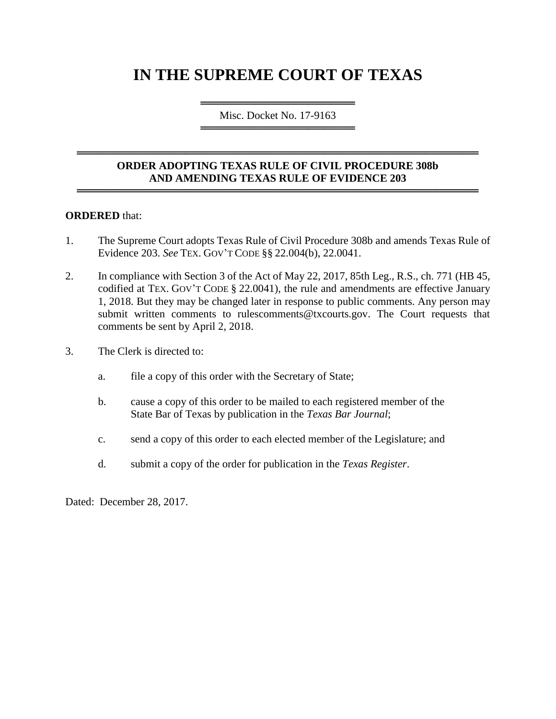# **IN THE SUPREME COURT OF TEXAS**

════════════════════════════════════ Misc. Docket No. 17-9163 ═════════════════════════════════════

## **ORDER ADOPTING TEXAS RULE OF CIVIL PROCEDURE 308b AND AMENDING TEXAS RULE OF EVIDENCE 203**

════════════════════════════════════════════════════

════════════════════════════════════════════════════

#### **ORDERED** that:

- 1. The Supreme Court adopts Texas Rule of Civil Procedure 308b and amends Texas Rule of Evidence 203. *See* TEX. GOV'T CODE §§ 22.004(b), 22.0041.
- 2. In compliance with Section 3 of the Act of May 22, 2017, 85th Leg., R.S., ch. 771 (HB 45, codified at TEX. GOV'T CODE § 22.0041), the rule and amendments are effective January 1, 2018. But they may be changed later in response to public comments. Any person may submit written comments to rulescomments@txcourts.gov. The Court requests that comments be sent by April 2, 2018.
- 3. The Clerk is directed to:
	- a. file a copy of this order with the Secretary of State;
	- b. cause a copy of this order to be mailed to each registered member of the State Bar of Texas by publication in the *Texas Bar Journal*;
	- c. send a copy of this order to each elected member of the Legislature; and
	- d. submit a copy of the order for publication in the *Texas Register*.

Dated: December 28, 2017.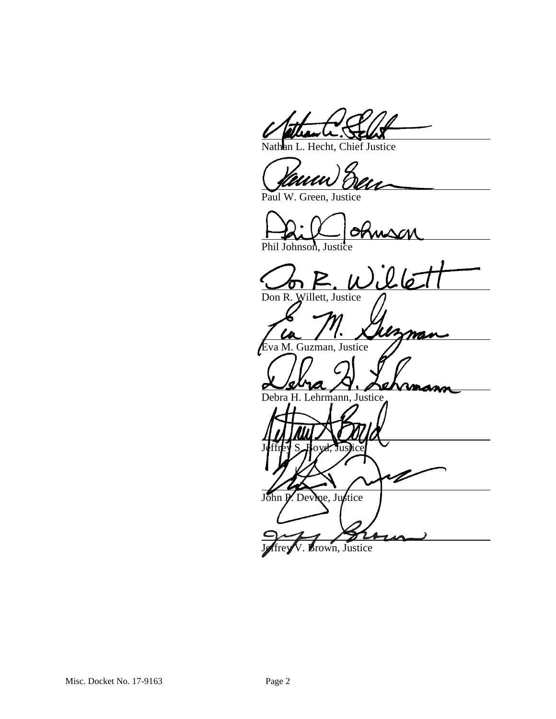Hecht, Chief Justice

Paul W. Green, Justice

Phil Johnson, Justice

nson<br>il lé

mas

Don R. Willett, Justice

va M. Guzman, Justice

Debra H. Lehrmann, Justice

Jeffrey S. Hoyd, Justice John P. Devine, Justice

Brown, Justice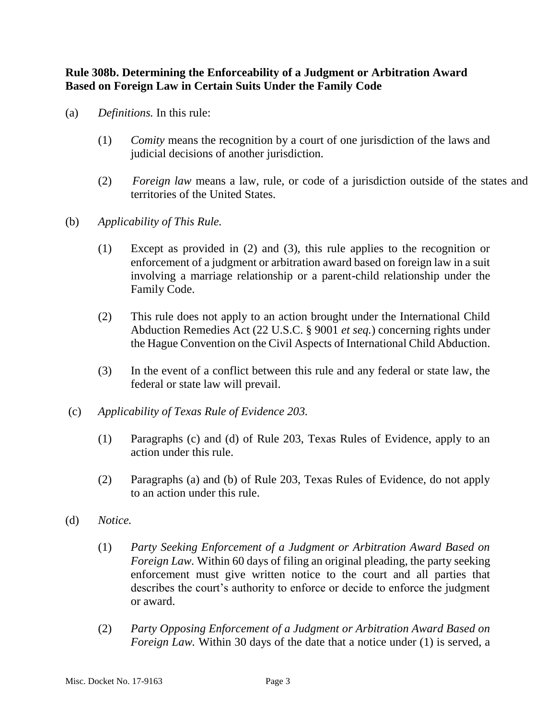**Rule 308b. Determining the Enforceability of a Judgment or Arbitration Award Based on Foreign Law in Certain Suits Under the Family Code** 

- (a) *Definitions.* In this rule:
	- (1) *Comity* means the recognition by a court of one jurisdiction of the laws and judicial decisions of another jurisdiction.
	- (2) *Foreign law* means a law, rule, or code of a jurisdiction outside of the states and territories of the United States.
- (b) *Applicability of This Rule.*
	- (1) Except as provided in (2) and (3), this rule applies to the recognition or enforcement of a judgment or arbitration award based on foreign law in a suit involving a marriage relationship or a parent-child relationship under the Family Code.
	- (2) This rule does not apply to an action brought under the International Child Abduction Remedies Act (22 U.S.C. § 9001 *et seq.*) concerning rights under the Hague Convention on the Civil Aspects of International Child Abduction.
	- (3) In the event of a conflict between this rule and any federal or state law, the federal or state law will prevail.
- (c) *Applicability of Texas Rule of Evidence 203.*
	- (1) Paragraphs (c) and (d) of Rule 203, Texas Rules of Evidence, apply to an action under this rule.
	- (2) Paragraphs (a) and (b) of Rule 203, Texas Rules of Evidence, do not apply to an action under this rule.
- (d) *Notice.*
	- (1) *Party Seeking Enforcement of a Judgment or Arbitration Award Based on Foreign Law.* Within 60 days of filing an original pleading, the party seeking enforcement must give written notice to the court and all parties that describes the court's authority to enforce or decide to enforce the judgment or award.
	- (2) *Party Opposing Enforcement of a Judgment or Arbitration Award Based on Foreign Law.* Within 30 days of the date that a notice under (1) is served, a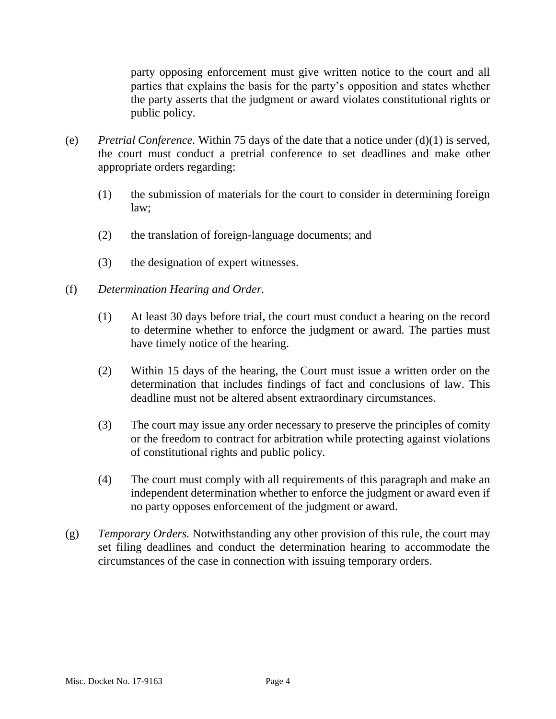party opposing enforcement must give written notice to the court and all parties that explains the basis for the party's opposition and states whether the party asserts that the judgment or award violates constitutional rights or public policy.

- (e) *Pretrial Conference.* Within 75 days of the date that a notice under (d)(1) is served, the court must conduct a pretrial conference to set deadlines and make other appropriate orders regarding:
	- (1) the submission of materials for the court to consider in determining foreign law;
	- (2) the translation of foreign-language documents; and
	- (3) the designation of expert witnesses.
- (f) *Determination Hearing and Order.*
	- (1) At least 30 days before trial, the court must conduct a hearing on the record to determine whether to enforce the judgment or award. The parties must have timely notice of the hearing.
	- (2) Within 15 days of the hearing, the Court must issue a written order on the determination that includes findings of fact and conclusions of law. This deadline must not be altered absent extraordinary circumstances.
	- (3) The court may issue any order necessary to preserve the principles of comity or the freedom to contract for arbitration while protecting against violations of constitutional rights and public policy.
	- (4) The court must comply with all requirements of this paragraph and make an independent determination whether to enforce the judgment or award even if no party opposes enforcement of the judgment or award.
- (g) *Temporary Orders.* Notwithstanding any other provision of this rule, the court may set filing deadlines and conduct the determination hearing to accommodate the circumstances of the case in connection with issuing temporary orders.